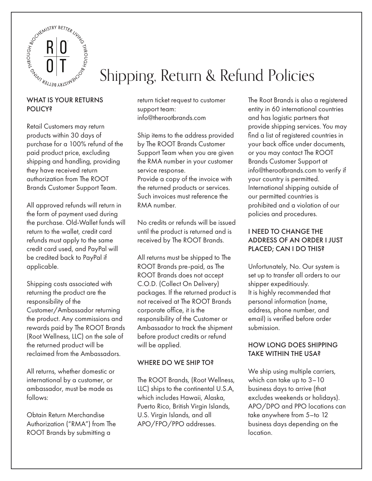

# Shipping, Return & Refund Policies

### WHAT IS YOUR RETURNS **POLICY?**

Retail Customers may return products within 30 days of purchase for a 100% refund of the paid product price, excluding shipping and handling, providing they have received return authorization from The ROOT Brands Customer Support Team.

All approved refunds will return in the form of payment used during the purchase. Old-Wallet funds will return to the wallet, credit card refunds must apply to the same credit card used, and PayPal will be credited back to PayPal if applicable.

Shipping costs associated with returning the product are the responsibility of the Customer/Ambassador returning the product. Any commissions and rewards paid by The ROOT Brands (Root Wellness, LLC) on the sale of the returned product will be reclaimed from the Ambassadors.

All returns, whether domestic or international by a customer, or ambassador, must be made as follows:

Obtain Return Merchandise Authorization ("RMA") from The ROOT Brands by submitting a

return ticket request to customer support team: info@therootbrands.com

Ship items to the address provided by The ROOT Brands Customer Support Team when you are given the RMA number in your customer service response. Provide a copy of the invoice with the returned products or services. Such invoices must reference the RMA number.

No credits or refunds will be issued until the product is returned and is received by The ROOT Brands.

All returns must be shipped to The ROOT Brands pre-paid, as The ROOT Brands does not accept C.O.D. (Collect On Delivery) packages. If the returned product is not received at The ROOT Brands corporate office, it is the responsibility of the Customer or Ambassador to track the shipment before product credits or refund will be applied.

# WHERE DO WE SHIP TO?

The ROOT Brands, (Root Wellness, LLC) ships to the continental U.S.A, which includes Hawaii, Alaska, Puerto Rico, British Virgin Islands, U.S. Virgin Islands, and all APO/FPO/PPO addresses.

The Root Brands is also a registered entity in 60 international countries and has logistic partners that provide shipping services. You may find a list of registered countries in your back office under documents, or you may contact The ROOT Brands Customer Support at info@therootbrands.com to verify if your country is permitted. International shipping outside of our permitted countries is prohibited and a violation of our policies and procedures.

## I NEED TO CHANGE THE ADDRESS OF AN ORDER I JUST PLACED; CAN I DO THIS?

Unfortunately, No. Our system is set up to transfer all orders to our shipper expeditiously. It is highly recommended that personal information (name, address, phone number, and email) is verified before order submission.

#### HOW LONG DOES SHIPPING TAKE WITHIN THE USA?

We ship using multiple carriers, which can take up to 3–10 business days to arrive (that excludes weekends or holidays). APO/DPO and PPO locations can take anywhere from 5–to 12 business days depending on the location.